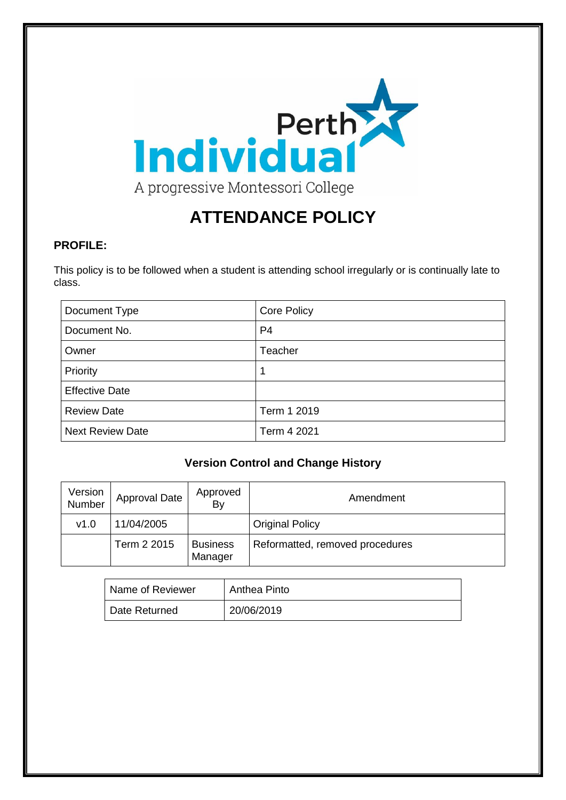

# **ATTENDANCE POLICY**

## **PROFILE:**

This policy is to be followed when a student is attending school irregularly or is continually late to class.

| Document Type           | <b>Core Policy</b> |
|-------------------------|--------------------|
| Document No.            | P4                 |
| Owner                   | Teacher            |
| Priority                |                    |
| <b>Effective Date</b>   |                    |
| <b>Review Date</b>      | Term 1 2019        |
| <b>Next Review Date</b> | Term 4 2021        |

# **Version Control and Change History**

| Version<br>Number | <b>Approval Date</b> | Approved<br>By             | Amendment                       |
|-------------------|----------------------|----------------------------|---------------------------------|
| v1.0              | 11/04/2005           |                            | <b>Original Policy</b>          |
|                   | Term 2 2015          | <b>Business</b><br>Manager | Reformatted, removed procedures |

| Name of Reviewer | Anthea Pinto |
|------------------|--------------|
| Date Returned    | 20/06/2019   |